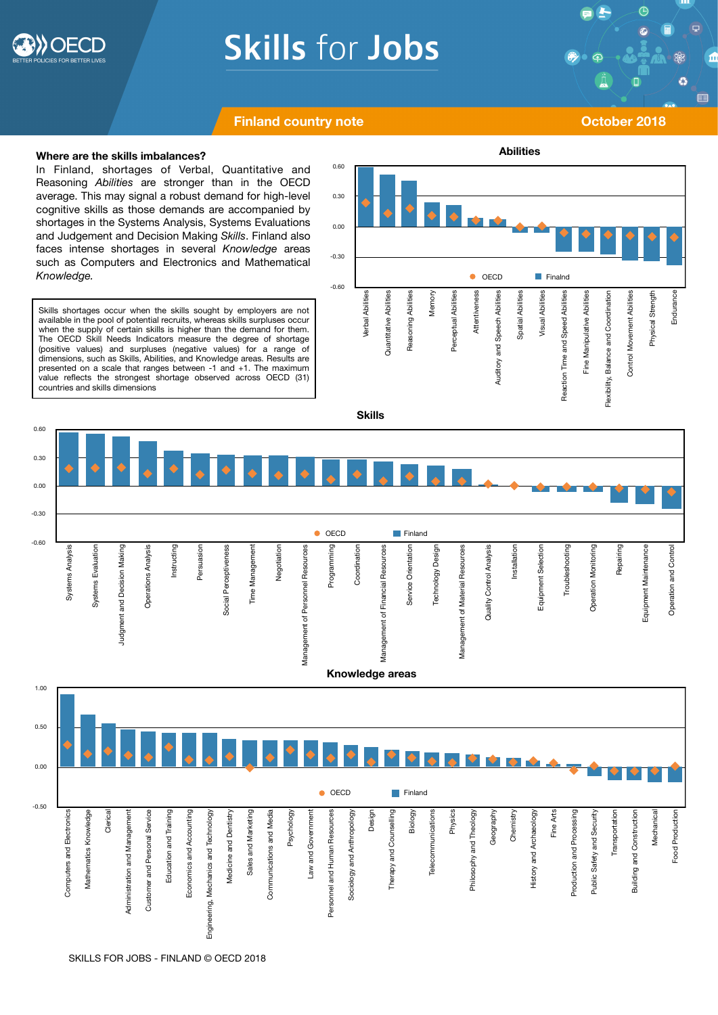

# **Skills for Jobs**

 $\bigoplus$ Ø г E

## **Finland country note COLORED ATTICLE 2018**

### **Where are the skills imbalances?**

In Finland, shortages of Verbal, Quantitative and Reasoning *Abilities* are stronger than in the OECD average. This may signal a robust demand for high-level cognitive skills as those demands are accompanied by shortages in the Systems Analysis, Systems Evaluations and Judgement and Decision Making *Skills*. Finland also faces intense shortages in several *Knowledge* areas such as Computers and Electronics and Mathematical *Knowledge.* 

Skills shortages occur when the skills sought by employers are not available in the pool of potential recruits, whereas skills surpluses occur when the supply of certain skills is higher than the demand for them. The OECD Skill Needs Indicators measure the degree of shortage (positive values) and surpluses (negative values) for a range of dimensions, such as Skills, Abilities, and Knowledge areas. Results are presented on a scale that ranges between -1 and +1. The maximum value reflects the strongest shortage observed across OECD (31) countries and skills dimensions